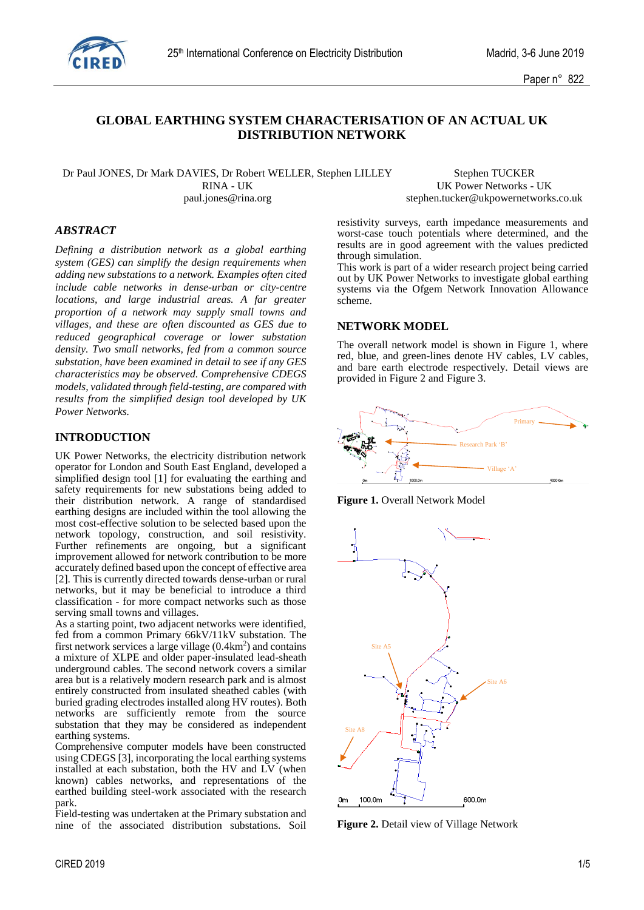

## **GLOBAL EARTHING SYSTEM CHARACTERISATION OF AN ACTUAL UK DISTRIBUTION NETWORK**

Dr Paul JONES, Dr Mark DAVIES, Dr Robert WELLER, Stephen LILLEY Stephen TUCKER RINA - UK Power Networks - UK paul.jones@rina.org stephen.tucker@ukpowernetworks.co.uk

## *ABSTRACT*

*Defining a distribution network as a global earthing system (GES) can simplify the design requirements when adding new substations to a network. Examples often cited include cable networks in dense-urban or city-centre locations, and large industrial areas. A far greater proportion of a network may supply small towns and villages, and these are often discounted as GES due to reduced geographical coverage or lower substation density. Two small networks, fed from a common source substation, have been examined in detail to see if any GES characteristics may be observed. Comprehensive CDEGS models, validated through field-testing, are compared with results from the simplified design tool developed by UK Power Networks.* 

#### **INTRODUCTION**

UK Power Networks, the electricity distribution network operator for London and South East England, developed a simplified design tool [1] for evaluating the earthing and safety requirements for new substations being added to their distribution network. A range of standardised earthing designs are included within the tool allowing the most cost-effective solution to be selected based upon the network topology, construction, and soil resistivity. Further refinements are ongoing, but a significant improvement allowed for network contribution to be more accurately defined based upon the concept of effective area [2]. This is currently directed towards dense-urban or rural networks, but it may be beneficial to introduce a third classification - for more compact networks such as those serving small towns and villages.

As a starting point, two adjacent networks were identified, fed from a common Primary 66kV/11kV substation. The first network services a large village  $(0.4 \text{km}^2)$  and contains a mixture of XLPE and older paper-insulated lead-sheath underground cables. The second network covers a similar area but is a relatively modern research park and is almost entirely constructed from insulated sheathed cables (with buried grading electrodes installed along HV routes). Both networks are sufficiently remote from the source substation that they may be considered as independent earthing systems.

Comprehensive computer models have been constructed using CDEGS [3], incorporating the local earthing systems installed at each substation, both the HV and LV (when known) cables networks, and representations of the earthed building steel-work associated with the research park.

Field-testing was undertaken at the Primary substation and nine of the associated distribution substations. Soil resistivity surveys, earth impedance measurements and worst-case touch potentials where determined, and the results are in good agreement with the values predicted through simulation.

This work is part of a wider research project being carried out by UK Power Networks to investigate global earthing systems via the Ofgem Network Innovation Allowance scheme.

### **NETWORK MODEL**

The overall network model is shown in Figure 1, where red, blue, and green-lines denote HV cables, LV cables, and bare earth electrode respectively. Detail views are provided in Figure 2 and Figure 3.



**Figure 1.** Overall Network Model



**Figure 2.** Detail view of Village Network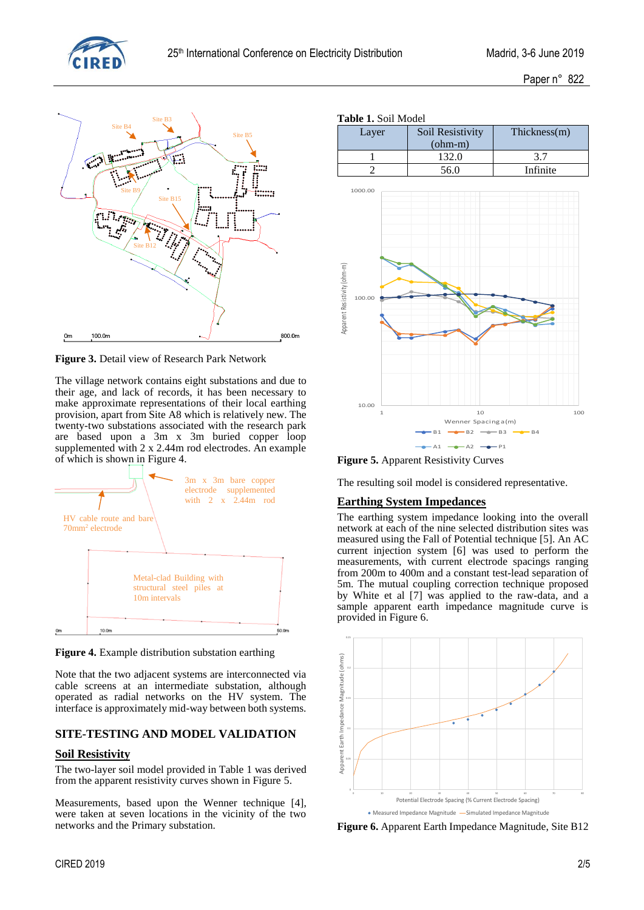





The village network contains eight substations and due to their age, and lack of records, it has been necessary to make approximate representations of their local earthing provision, apart from Site A8 which is relatively new. The twenty-two substations associated with the research park are based upon a 3m x 3m buried copper loop supplemented with 2 x 2.44m rod electrodes. An example of which is shown in Figure 4.



**Figure 4.** Example distribution substation earthing

Note that the two adjacent systems are interconnected via cable screens at an intermediate substation, although operated as radial networks on the HV system. The interface is approximately mid-way between both systems.

## **SITE-TESTING AND MODEL VALIDATION**

## **Soil Resistivity**

The two-layer soil model provided in Table 1 was derived from the apparent resistivity curves shown in Figure 5.

Measurements, based upon the Wenner technique [4], were taken at seven locations in the vicinity of the two networks and the Primary substation.

### **Table 1.** Soil Model

| $\sim$ 4.000 $\sim$ 6.000 $\sim$ 4.000 $\sim$ |                  |              |  |  |  |  |
|-----------------------------------------------|------------------|--------------|--|--|--|--|
| Layer                                         | Soil Resistivity | Thickness(m) |  |  |  |  |
|                                               | $(ohm-m)$        |              |  |  |  |  |
|                                               | 132.0            |              |  |  |  |  |
|                                               | 56.0             | Infinite     |  |  |  |  |



**Figure 5.** Apparent Resistivity Curves

The resulting soil model is considered representative.

## **Earthing System Impedances**

The earthing system impedance looking into the overall network at each of the nine selected distribution sites was measured using the Fall of Potential technique [5]. An AC current injection system [6] was used to perform the measurements, with current electrode spacings ranging from 200m to 400m and a constant test-lead separation of 5m. The mutual coupling correction technique proposed by White et al [7] was applied to the raw-data, and a sample apparent earth impedance magnitude curve is provided in Figure 6.



**Figure 6.** Apparent Earth Impedance Magnitude, Site B12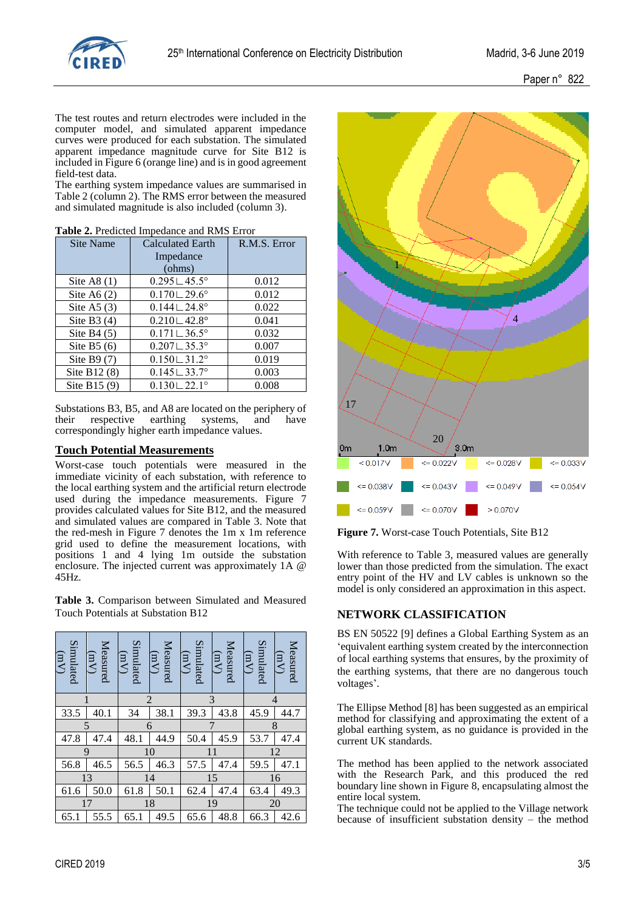

Paper n° 822

The test routes and return electrodes were included in the computer model, and simulated apparent impedance curves were produced for each substation. The simulated apparent impedance magnitude curve for Site B12 is included in Figure 6 (orange line) and is in good agreement field-test data.

The earthing system impedance values are summarised in Table 2 (column 2). The RMS error between the measured and simulated magnitude is also included (column 3).

| Site Name      | <b>Calculated Earth</b><br>Impedance<br>(ohms) | R.M.S. Error |
|----------------|------------------------------------------------|--------------|
| Site A8 $(1)$  | $0.295 \,\,{\sqcup}\, 45.5^{\circ}$            | 0.012        |
|                |                                                |              |
| Site A6 $(2)$  | $0.170 - 29.6^{\circ}$                         | 0.012        |
| Site A5 $(3)$  | $0.144 \sqcup 24.8^{\circ}$                    | 0.022        |
| Site B3 $(4)$  | $0.210 \cup 42.8^{\circ}$                      | 0.041        |
| Site B4 $(5)$  | $0.171 \cup 36.5^{\circ}$                      | 0.032        |
| Site B5 $(6)$  | $0.207 \cup 35.3^{\circ}$                      | 0.007        |
| Site B9 $(7)$  | $0.150 - 31.2^{\circ}$                         | 0.019        |
| Site B12 $(8)$ | $0.145 \cup 33.7^{\circ}$                      | 0.003        |
| Site B15 $(9)$ | $0.130 - 22.1$ °                               | 0.008        |

| Table 2. Predicted Impedance and RMS Error |  |  |  |  |  |
|--------------------------------------------|--|--|--|--|--|
|--------------------------------------------|--|--|--|--|--|

Substations B3, B5, and A8 are located on the periphery of their respective earthing systems, and have respective correspondingly higher earth impedance values.

### **Touch Potential Measurements**

Worst-case touch potentials were measured in the immediate vicinity of each substation, with reference to the local earthing system and the artificial return electrode used during the impedance measurements. Figure 7 provides calculated values for Site B12, and the measured and simulated values are compared in Table 3. Note that the red-mesh in Figure 7 denotes the 1m x 1m reference grid used to define the measurement locations, with positions 1 and 4 lying 1m outside the substation enclosure. The injected current was approximately 1A @ 45Hz.

**Table 3.** Comparison between Simulated and Measured Touch Potentials at Substation B12

| Simulated<br>(mV) | Measured<br>$(\text{mV})$ | Simulated<br>$(\mu V)$ | Measured<br>$(\mu V)$ | Simulated<br>$(\mu\gamma)$ | Measured<br>$\overline{(MV)}$ | Simulated<br>(mV) | Measured<br>$(\mu V)$ |
|-------------------|---------------------------|------------------------|-----------------------|----------------------------|-------------------------------|-------------------|-----------------------|
|                   |                           |                        | $\overline{2}$        |                            | 3                             | 4                 |                       |
| 33.5              | 40.1                      | 34                     | 38.1                  | 39.3                       | 43.8                          | 45.9              | 44.7                  |
| 5                 |                           |                        | 6                     |                            |                               |                   | 8                     |
| 47.8              | 47.4                      | 48.1                   | 44.9                  | 50.4                       | 45.9                          | 53.7              | 47.4                  |
|                   | 9                         |                        | 10                    |                            | 11                            |                   | 12                    |
| 56.8              | 46.5                      | 56.5                   | 46.3                  | 57.5                       | 47.4                          | 59.5              | 47.1                  |
|                   | 13                        |                        | 14                    |                            | 15                            |                   | 16                    |
| 61.6              | 50.0                      | 61.8                   | 50.1                  | 62.4                       | 47.4                          | 63.4              | 49.3                  |
|                   | 17                        |                        | 18                    |                            | 19                            |                   | 20                    |
| 65.1              | 55.5                      | 65.1                   | 49.5                  | 65.6                       | 48.8                          | 66.3              | 42.6                  |



**Figure 7.** Worst-case Touch Potentials, Site B12

With reference to Table 3, measured values are generally lower than those predicted from the simulation. The exact entry point of the HV and LV cables is unknown so the model is only considered an approximation in this aspect.

### **NETWORK CLASSIFICATION**

BS EN 50522 [9] defines a Global Earthing System as an 'equivalent earthing system created by the interconnection of local earthing systems that ensures, by the proximity of the earthing systems, that there are no dangerous touch voltages'.

The Ellipse Method [8] has been suggested as an empirical method for classifying and approximating the extent of a global earthing system, as no guidance is provided in the current UK standards.

The method has been applied to the network associated with the Research Park, and this produced the red boundary line shown in Figure 8, encapsulating almost the entire local system.

The technique could not be applied to the Village network because of insufficient substation density – the method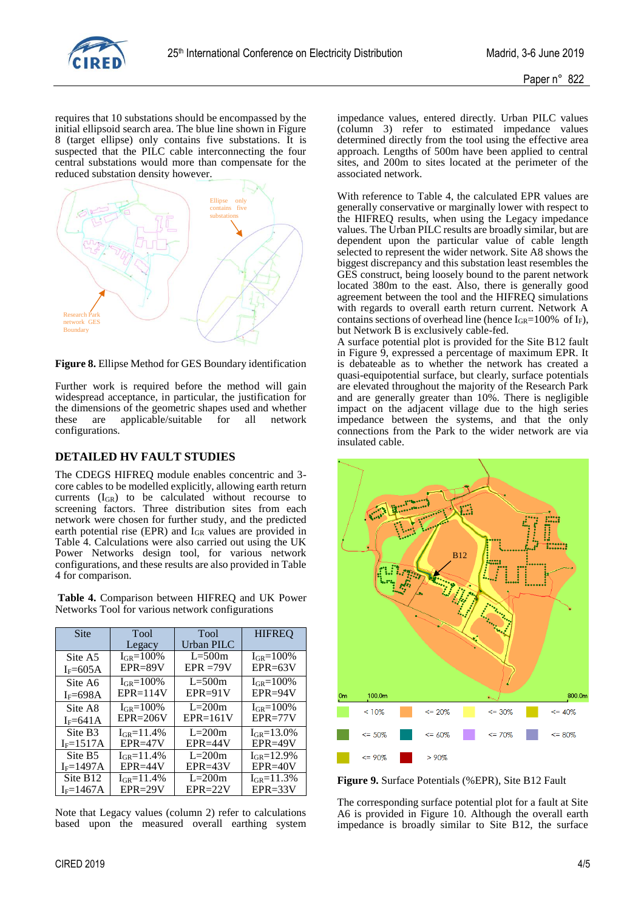

requires that 10 substations should be encompassed by the initial ellipsoid search area. The blue line shown in Figure 8 (target ellipse) only contains five substations. It is suspected that the PILC cable interconnecting the four central substations would more than compensate for the reduced substation density however.



**Figure 8.** Ellipse Method for GES Boundary identification

Further work is required before the method will gain widespread acceptance, in particular, the justification for the dimensions of the geometric shapes used and whether these are applicable/suitable for all network configurations.

# **DETAILED HV FAULT STUDIES**

The CDEGS HIFREQ module enables concentric and 3 core cables to be modelled explicitly, allowing earth return currents (IGR) to be calculated without recourse to screening factors. Three distribution sites from each network were chosen for further study, and the predicted earth potential rise (EPR) and IGR values are provided in Table 4. Calculations were also carried out using the UK Power Networks design tool, for various network configurations, and these results are also provided in Table 4 for comparison.

Table 4. Comparison between HIFREO and UK Power Networks Tool for various network configurations

| Site                 | Tool<br>Tool      |              | <b>HIFREQ</b>     |  |
|----------------------|-------------------|--------------|-------------------|--|
|                      | Legacy            | Urban PILC   |                   |  |
| Site A5              | $I_{GR} = 100\%$  | $L = 500m$   | $I_{GR} = 100\%$  |  |
| $I_F = 605A$         | $EPR = 89V$       | $EPR = 79V$  | $EPR = 63V$       |  |
| Site A6              | $I_{GR} = 100\%$  | $L = 500m$   | $I_{GR} = 100\%$  |  |
| $IF=698A$            | $EPR = 114V$      | $EPR = 91V$  | $EPR = 94V$       |  |
| Site A8              | $I_{GR} = 100\%$  | $L=200m$     | $I_{GR} = 100\%$  |  |
| $IF=641A$            | $EPR = 206V$      | $EPR = 161V$ | $EPR = 77V$       |  |
| Site B3              | $I_{GR} = 11.4\%$ | $L=200m$     | $I_{GR} = 13.0\%$ |  |
| $IF=1517A$           | $EPR = 47V$       | $EPR = 44V$  | $EPR = 49V$       |  |
| Site B <sub>5</sub>  | $I_{GR} = 11.4\%$ | $L=200m$     | $I_{GR} = 12.9\%$ |  |
| $I_F=1497A$          | $EPR = 44V$       | $EPR = 43V$  | $EPR = 40V$       |  |
| Site B <sub>12</sub> | $I_{GB} = 11.4\%$ | $L=200m$     | $I_{GR} = 11.3\%$ |  |
| $IF=1467A$           | $EPR = 29V$       | $EPR = 22V$  | $EPR = 33V$       |  |

Note that Legacy values (column 2) refer to calculations based upon the measured overall earthing system impedance values, entered directly. Urban PILC values (column 3) refer to estimated impedance values determined directly from the tool using the effective area approach. Lengths of 500m have been applied to central sites, and 200m to sites located at the perimeter of the associated network.

With reference to Table 4, the calculated EPR values are generally conservative or marginally lower with respect to the HIFREQ results, when using the Legacy impedance values. The Urban PILC results are broadly similar, but are dependent upon the particular value of cable length selected to represent the wider network. Site A8 shows the biggest discrepancy and this substation least resembles the GES construct, being loosely bound to the parent network located 380m to the east. Also, there is generally good agreement between the tool and the HIFREQ simulations with regards to overall earth return current. Network A contains sections of overhead line (hence  $I_{GR}=100\%$  of  $I_F$ ), but Network B is exclusively cable-fed.

A surface potential plot is provided for the Site B12 fault in Figure 9, expressed a percentage of maximum EPR. It is debateable as to whether the network has created a quasi-equipotential surface, but clearly, surface potentials are elevated throughout the majority of the Research Park and are generally greater than 10%. There is negligible impact on the adjacent village due to the high series impedance between the systems, and that the only connections from the Park to the wider network are via insulated cable.



**Figure 9.** Surface Potentials (%EPR), Site B12 Fault

The corresponding surface potential plot for a fault at Site A6 is provided in Figure 10. Although the overall earth impedance is broadly similar to Site B12, the surface